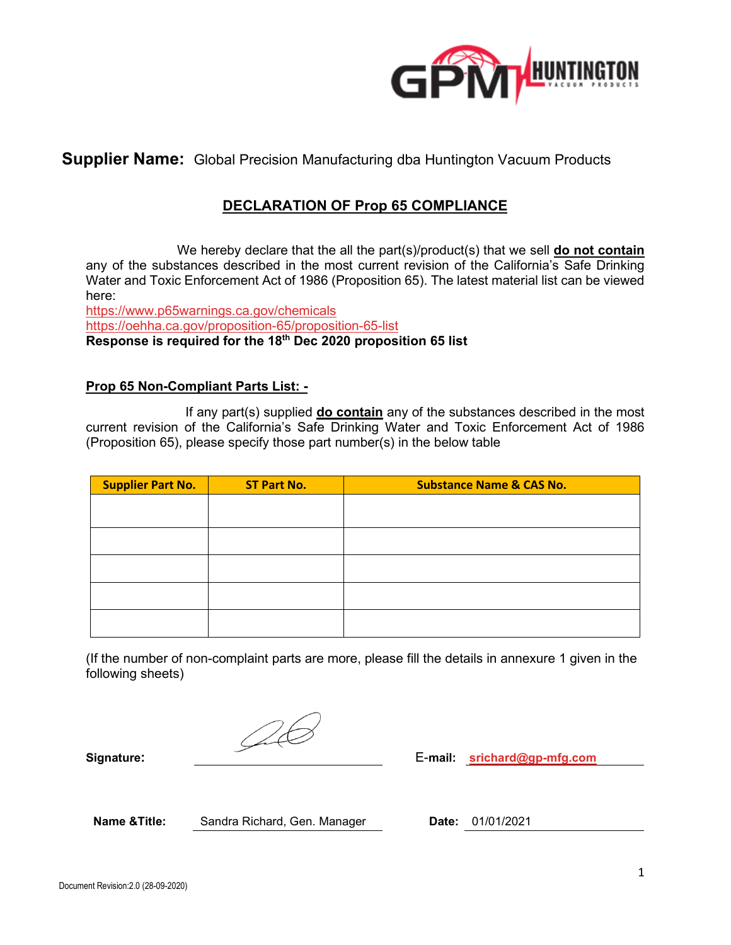

**Supplier Name:** Global Precision Manufacturing dba Huntington Vacuum Products

# **DECLARATION OF Prop 65 COMPLIANCE**

 We hereby declare that the all the part(s)/product(s) that we sell **do not contain** any of the substances described in the most current revision of the California's Safe Drinking Water and Toxic Enforcement Act of 1986 (Proposition 65). The latest material list can be viewed here:

<https://www.p65warnings.ca.gov/chemicals> <https://oehha.ca.gov/proposition-65/proposition-65-list> **Response is required for the 18th Dec 2020 proposition 65 list**

#### **Prop 65 Non-Compliant Parts List: -**

 If any part(s) supplied **do contain** any of the substances described in the most current revision of the California's Safe Drinking Water and Toxic Enforcement Act of 1986 (Proposition 65), please specify those part number(s) in the below table

| <b>Supplier Part No.</b> | <b>ST Part No.</b> | <b>Substance Name &amp; CAS No.</b> |
|--------------------------|--------------------|-------------------------------------|
|                          |                    |                                     |
|                          |                    |                                     |
|                          |                    |                                     |
|                          |                    |                                     |
|                          |                    |                                     |
|                          |                    |                                     |
|                          |                    |                                     |
|                          |                    |                                     |

(If the number of non-complaint parts are more, please fill the details in annexure 1 given in the following sheets)

 $\oslash$ 

**Signature:** E-**mail: [srichard@gp-mfg.com](mailto:srichard@gp-mfg.com)**

**Name &Title:** Sandra Richard, Gen. Manager **Date:** 01/01/2021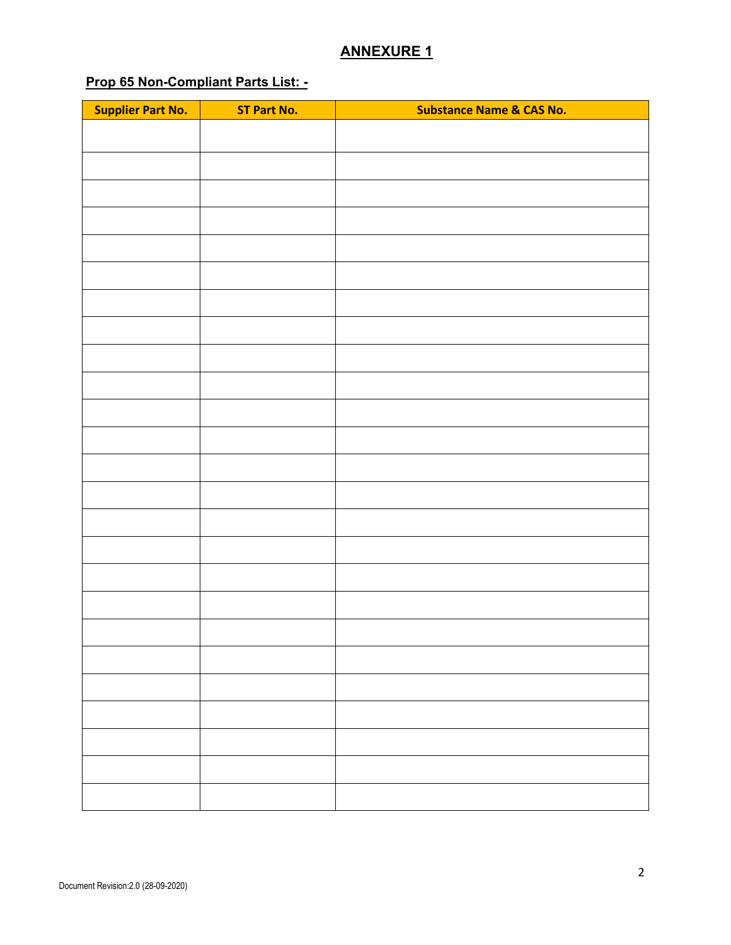## **ANNEXURE 1**

## **Prop 65 Non-Compliant Parts List: -**

| <b>Supplier Part No.</b> | <b>ST Part No.</b> | <b>Substance Name &amp; CAS No.</b> |
|--------------------------|--------------------|-------------------------------------|
|                          |                    |                                     |
|                          |                    |                                     |
|                          |                    |                                     |
|                          |                    |                                     |
|                          |                    |                                     |
|                          |                    |                                     |
|                          |                    |                                     |
|                          |                    |                                     |
|                          |                    |                                     |
|                          |                    |                                     |
|                          |                    |                                     |
|                          |                    |                                     |
|                          |                    |                                     |
|                          |                    |                                     |
|                          |                    |                                     |
|                          |                    |                                     |
|                          |                    |                                     |
|                          |                    |                                     |
|                          |                    |                                     |
|                          |                    |                                     |
|                          |                    |                                     |
|                          |                    |                                     |
|                          |                    |                                     |
|                          |                    |                                     |
|                          |                    |                                     |
|                          |                    |                                     |
|                          |                    |                                     |